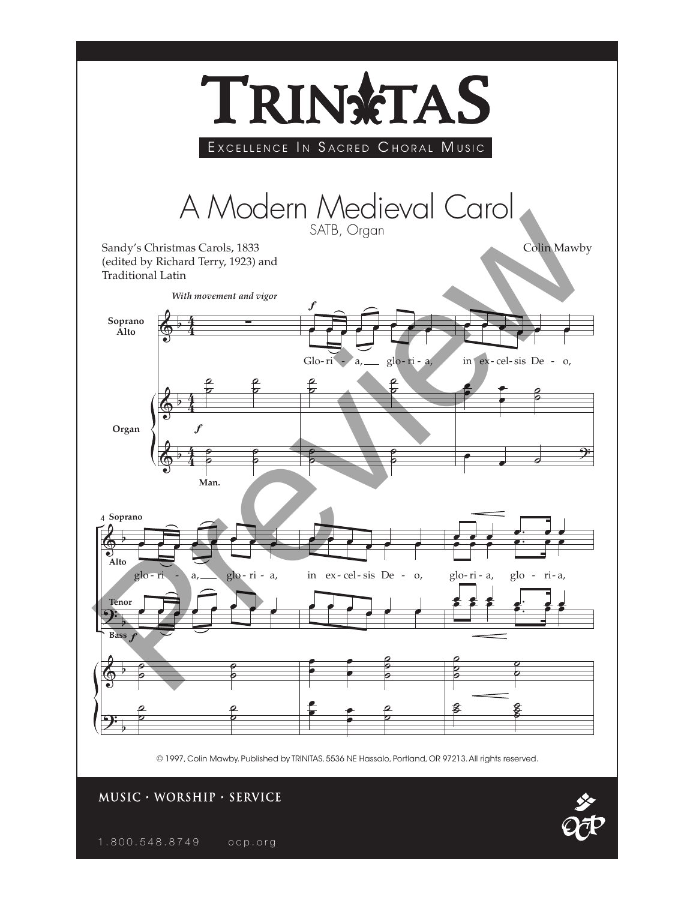

1.800.548.8749 o c p . o r g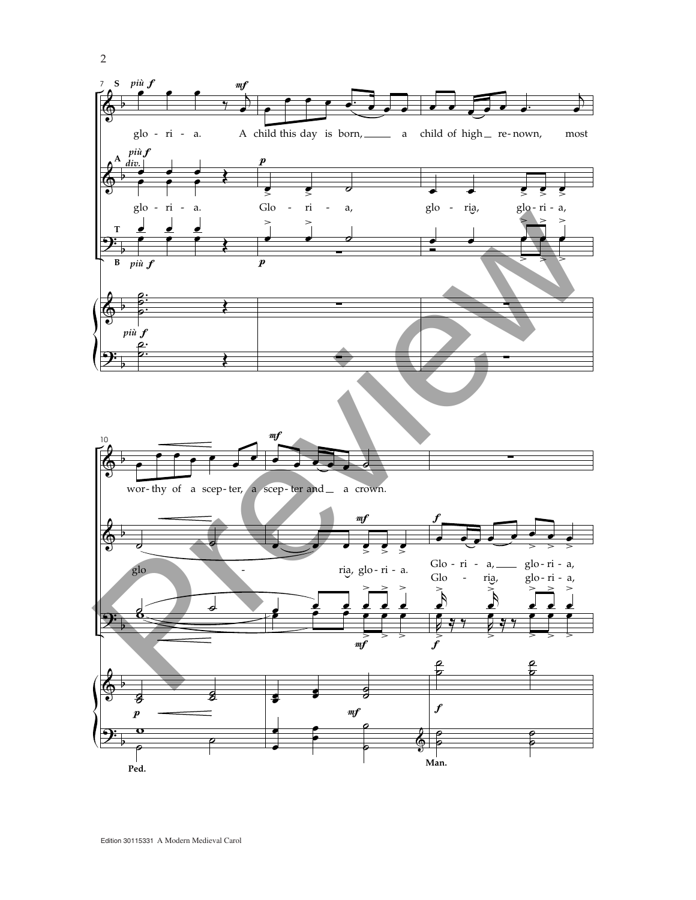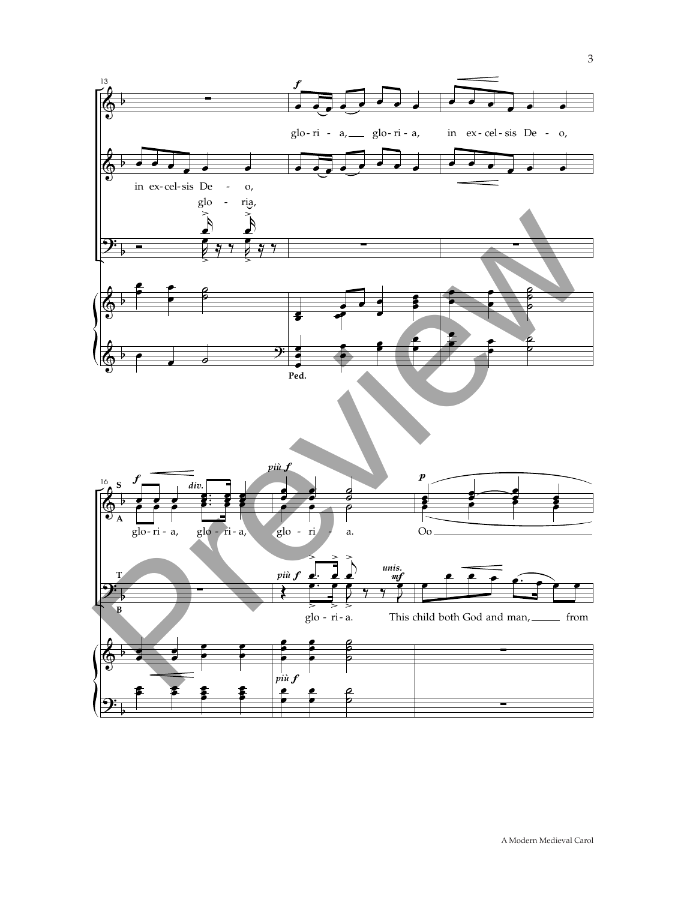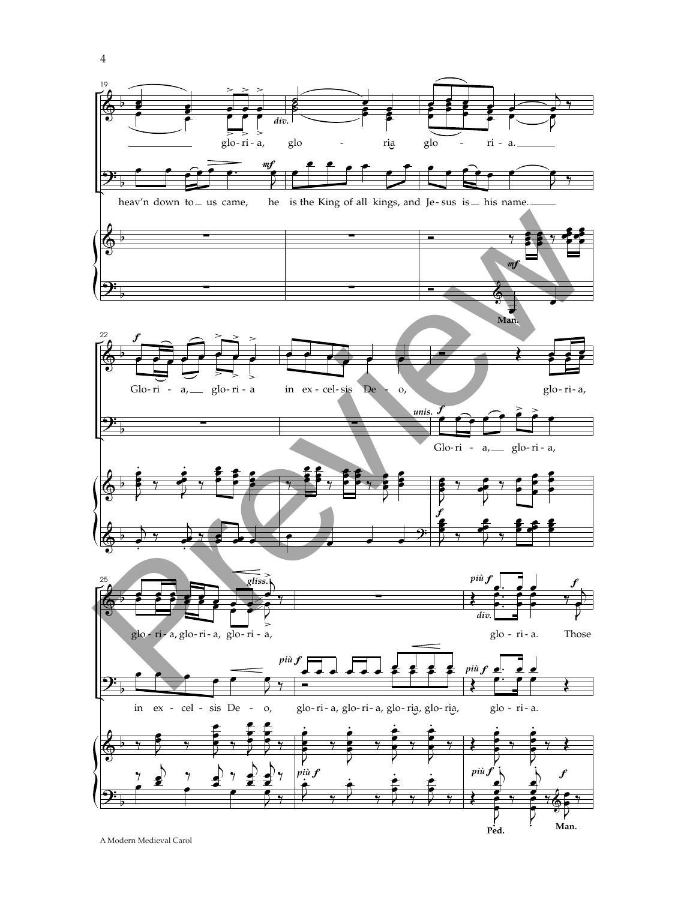

A Modern Medieval Carol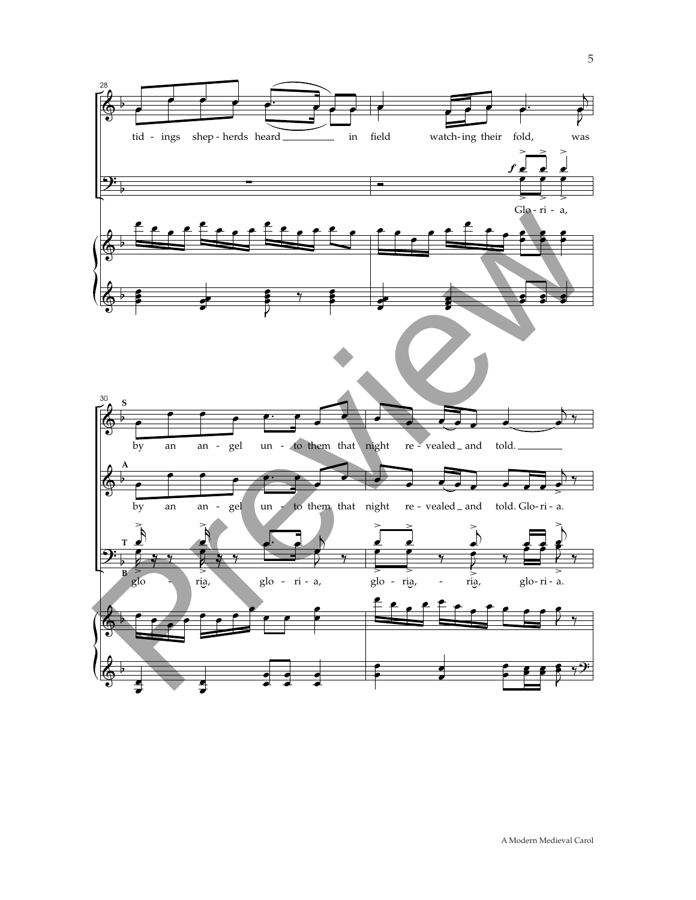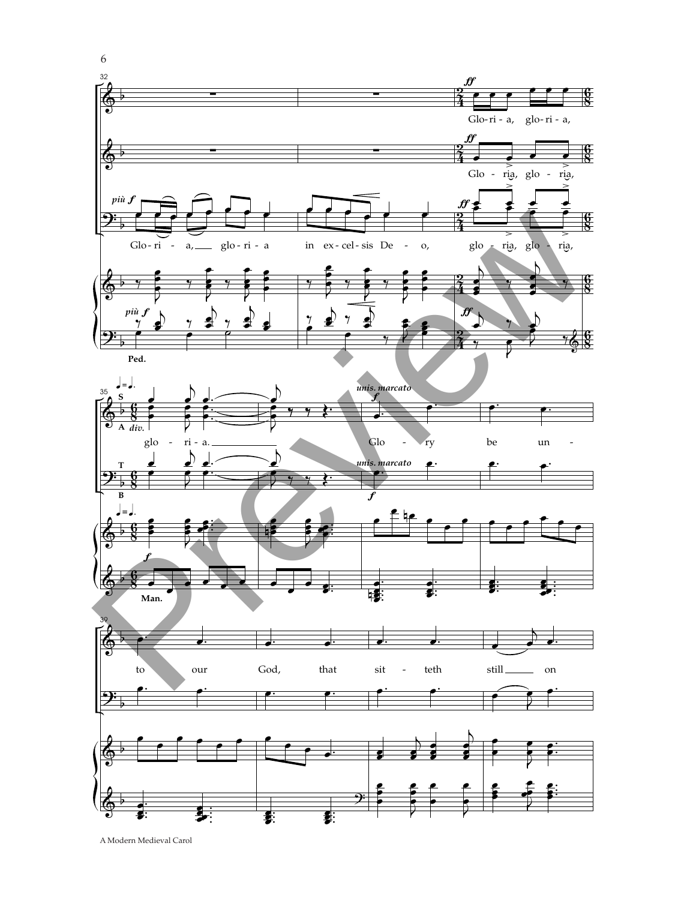

A Modern Medieval Carol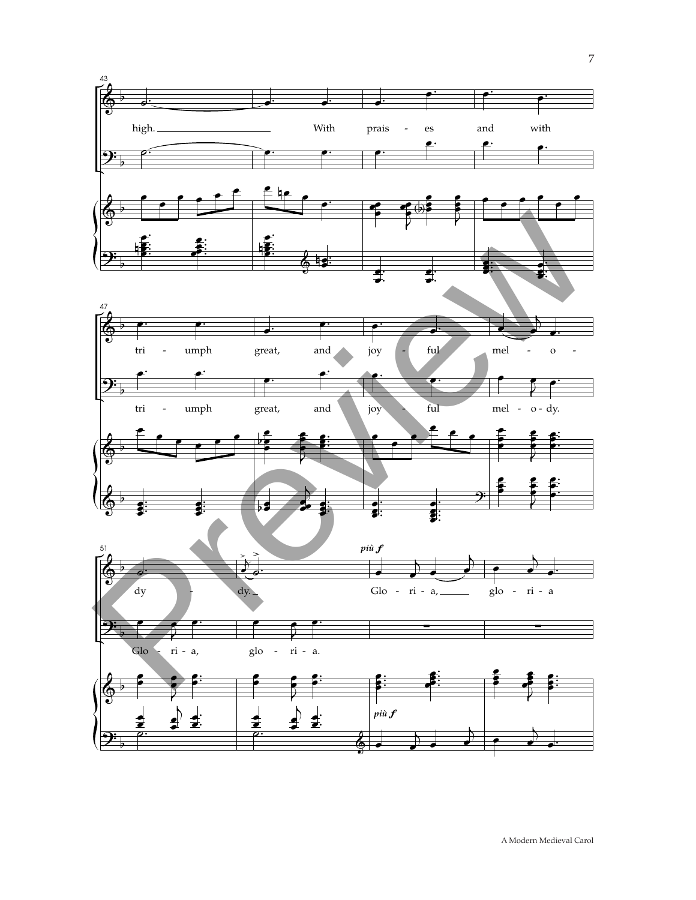

 $\overline{7}$